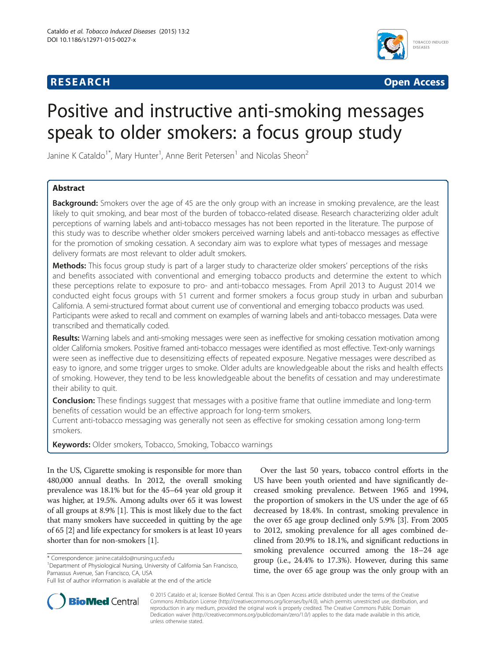## **RESEARCH RESEARCH** *CHECKER CHECKER CHECKER CHECKER CHECKER CHECKER CHECKER CHECKER CHECKER CHECKER CHECKER*



# Positive and instructive anti-smoking messages speak to older smokers: a focus group study

Janine K Cataldo<sup>1\*</sup>, Mary Hunter<sup>1</sup>, Anne Berit Petersen<sup>1</sup> and Nicolas Sheon<sup>2</sup>

## Abstract

Background: Smokers over the age of 45 are the only group with an increase in smoking prevalence, are the least likely to quit smoking, and bear most of the burden of tobacco-related disease. Research characterizing older adult perceptions of warning labels and anti-tobacco messages has not been reported in the literature. The purpose of this study was to describe whether older smokers perceived warning labels and anti-tobacco messages as effective for the promotion of smoking cessation. A secondary aim was to explore what types of messages and message delivery formats are most relevant to older adult smokers.

Methods: This focus group study is part of a larger study to characterize older smokers' perceptions of the risks and benefits associated with conventional and emerging tobacco products and determine the extent to which these perceptions relate to exposure to pro- and anti-tobacco messages. From April 2013 to August 2014 we conducted eight focus groups with 51 current and former smokers a focus group study in urban and suburban California. A semi-structured format about current use of conventional and emerging tobacco products was used. Participants were asked to recall and comment on examples of warning labels and anti-tobacco messages. Data were transcribed and thematically coded.

Results: Warning labels and anti-smoking messages were seen as ineffective for smoking cessation motivation among older California smokers. Positive framed anti-tobacco messages were identified as most effective. Text-only warnings were seen as ineffective due to desensitizing effects of repeated exposure. Negative messages were described as easy to ignore, and some trigger urges to smoke. Older adults are knowledgeable about the risks and health effects of smoking. However, they tend to be less knowledgeable about the benefits of cessation and may underestimate their ability to quit.

**Conclusion:** These findings suggest that messages with a positive frame that outline immediate and long-term benefits of cessation would be an effective approach for long-term smokers.

Current anti-tobacco messaging was generally not seen as effective for smoking cessation among long-term smokers.

Keywords: Older smokers, Tobacco, Smoking, Tobacco warnings

In the US, Cigarette smoking is responsible for more than 480,000 annual deaths. In 2012, the overall smoking prevalence was 18.1% but for the 45–64 year old group it was higher, at 19.5%. Among adults over 65 it was lowest of all groups at 8.9% [[1\]](#page-6-0). This is most likely due to the fact that many smokers have succeeded in quitting by the age of 65 [\[2\]](#page-6-0) and life expectancy for smokers is at least 10 years shorter than for non-smokers [[1](#page-6-0)].

Over the last 50 years, tobacco control efforts in the US have been youth oriented and have significantly decreased smoking prevalence. Between 1965 and 1994, the proportion of smokers in the US under the age of 65 decreased by 18.4%. In contrast, smoking prevalence in the over 65 age group declined only 5.9% [[3](#page-6-0)]. From 2005 to 2012, smoking prevalence for all ages combined declined from 20.9% to 18.1%, and significant reductions in smoking prevalence occurred among the 18–24 age group (i.e., 24.4% to 17.3%). However, during this same time, the over 65 age group was the only group with an



© 2015 Cataldo et al.; licensee BioMed Central. This is an Open Access article distributed under the terms of the Creative Commons Attribution License [\(http://creativecommons.org/licenses/by/4.0\)](http://creativecommons.org/licenses/by/4.0), which permits unrestricted use, distribution, and reproduction in any medium, provided the original work is properly credited. The Creative Commons Public Domain Dedication waiver [\(http://creativecommons.org/publicdomain/zero/1.0/](http://creativecommons.org/publicdomain/zero/1.0/)) applies to the data made available in this article, unless otherwise stated.

<sup>\*</sup> Correspondence: [janine.cataldo@nursing.ucsf.edu](mailto:janine.cataldo@nursing.ucsf.edu) <sup>1</sup>

<sup>&</sup>lt;sup>1</sup>Department of Physiological Nursing, University of California San Francisco, Parnassus Avenue, San Francisco, CA, USA

Full list of author information is available at the end of the article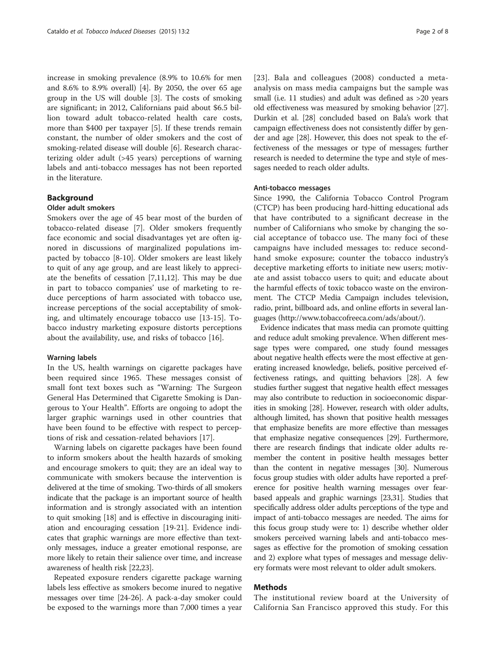increase in smoking prevalence (8.9% to 10.6% for men and 8.6% to 8.9% overall) [[4\]](#page-7-0). By 2050, the over 65 age group in the US will double [\[3](#page-6-0)]. The costs of smoking are significant; in 2012, Californians paid about \$6.5 billion toward adult tobacco-related health care costs, more than \$400 per taxpayer [[5\]](#page-7-0). If these trends remain constant, the number of older smokers and the cost of smoking-related disease will double [\[6](#page-7-0)]. Research characterizing older adult (>45 years) perceptions of warning labels and anti-tobacco messages has not been reported in the literature.

## Background

## Older adult smokers

Smokers over the age of 45 bear most of the burden of tobacco-related disease [[7](#page-7-0)]. Older smokers frequently face economic and social disadvantages yet are often ignored in discussions of marginalized populations impacted by tobacco [[8-10](#page-7-0)]. Older smokers are least likely to quit of any age group, and are least likely to appreciate the benefits of cessation [\[7,11,12\]](#page-7-0). This may be due in part to tobacco companies' use of marketing to reduce perceptions of harm associated with tobacco use, increase perceptions of the social acceptability of smoking, and ultimately encourage tobacco use [[13-15\]](#page-7-0). Tobacco industry marketing exposure distorts perceptions about the availability, use, and risks of tobacco [[16\]](#page-7-0).

#### Warning labels

In the US, health warnings on cigarette packages have been required since 1965. These messages consist of small font text boxes such as "Warning: The [Surgeon](http://en.wikipedia.org/wiki/Surgeon_General_of_the_United_States#Surgeon%20General%20of%20the%20United%20States) [General](http://en.wikipedia.org/wiki/Surgeon_General_of_the_United_States#Surgeon%20General%20of%20the%20United%20States) Has Determined that Cigarette Smoking is Dangerous to Your Health". Efforts are ongoing to adopt the larger graphic warnings used in other countries that have been found to be effective with respect to perceptions of risk and cessation-related behaviors [[17](#page-7-0)].

Warning labels on cigarette packages have been found to inform smokers about the health hazards of smoking and encourage smokers to quit; they are an ideal way to communicate with smokers because the intervention is delivered at the time of smoking. Two-thirds of all smokers indicate that the package is an important source of health information and is strongly associated with an intention to quit smoking [\[18\]](#page-7-0) and is effective in discouraging initiation and encouraging cessation [[19-21\]](#page-7-0). Evidence indicates that graphic warnings are more effective than textonly messages, induce a greater emotional response, are more likely to retain their salience over time, and increase awareness of health risk [[22](#page-7-0),[23](#page-7-0)].

Repeated exposure renders cigarette package warning labels less effective as smokers become inured to negative messages over time [\[24-26\]](#page-7-0). A pack-a-day smoker could be exposed to the warnings more than 7,000 times a year

[[23](#page-7-0)]. Bala and colleagues (2008) conducted a metaanalysis on mass media campaigns but the sample was small (i.e. 11 studies) and adult was defined as >20 years old effectiveness was measured by smoking behavior [[27](#page-7-0)]. Durkin et al. [\[28](#page-7-0)] concluded based on Bala's work that campaign effectiveness does not consistently differ by gender and age [\[28\]](#page-7-0). However, this does not speak to the effectiveness of the messages or type of messages; further research is needed to determine the type and style of messages needed to reach older adults.

## Anti-tobacco messages

Since 1990, the California Tobacco Control Program (CTCP) has been producing hard-hitting educational ads that have contributed to a significant decrease in the number of Californians who smoke by changing the social acceptance of tobacco use. The many foci of these campaigns have included messages to: reduce secondhand smoke exposure; counter the tobacco industry's deceptive marketing efforts to initiate new users; motivate and assist tobacco users to quit; and educate about the harmful effects of toxic tobacco waste on the environment. The CTCP Media Campaign includes television, radio, print, billboard ads, and online efforts in several languages [\(http://www.tobaccofreeca.com/ads/about/\)](http://www.tobaccofreeca.com/ads/about/).

Evidence indicates that mass media can promote quitting and reduce adult smoking prevalence. When different message types were compared, one study found messages about negative health effects were the most effective at generating increased knowledge, beliefs, positive perceived effectiveness ratings, and quitting behaviors [\[28\]](#page-7-0). A few studies further suggest that negative health effect messages may also contribute to reduction in socioeconomic disparities in smoking [[28](#page-7-0)]. However, research with older adults, although limited, has shown that positive health messages that emphasize benefits are more effective than messages that emphasize negative consequences [[29](#page-7-0)]. Furthermore, there are research findings that indicate older adults remember the content in positive health messages better than the content in negative messages [[30\]](#page-7-0). Numerous focus group studies with older adults have reported a preference for positive health warning messages over fearbased appeals and graphic warnings [\[23,31\]](#page-7-0). Studies that specifically address older adults perceptions of the type and impact of anti-tobacco messages are needed. The aims for this focus group study were to: 1) describe whether older smokers perceived warning labels and anti-tobacco messages as effective for the promotion of smoking cessation and 2) explore what types of messages and message delivery formats were most relevant to older adult smokers.

#### Methods

The institutional review board at the University of California San Francisco approved this study. For this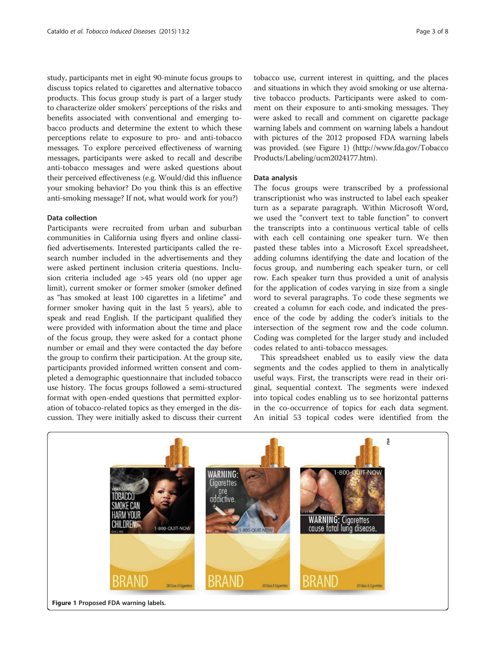<span id="page-2-0"></span>study, participants met in eight 90-minute focus groups to discuss topics related to cigarettes and alternative tobacco products. This focus group study is part of a larger study to characterize older smokers' perceptions of the risks and benefits associated with conventional and emerging tobacco products and determine the extent to which these perceptions relate to exposure to pro- and anti-tobacco messages. To explore perceived effectiveness of warning messages, participants were asked to recall and describe anti-tobacco messages and were asked questions about their perceived effectiveness (e.g. Would/did this influence your smoking behavior? Do you think this is an effective anti-smoking message? If not, what would work for you?)

#### Data collection

Participants were recruited from urban and suburban communities in California using flyers and online classified advertisements. Interested participants called the research number included in the advertisements and they were asked pertinent inclusion criteria questions. Inclusion criteria included age >45 years old (no upper age limit), current smoker or former smoker (smoker defined as "has smoked at least 100 cigarettes in a lifetime" and former smoker having quit in the last 5 years), able to speak and read English. If the participant qualified they were provided with information about the time and place of the focus group, they were asked for a contact phone number or email and they were contacted the day before the group to confirm their participation. At the group site, participants provided informed written consent and completed a demographic questionnaire that included tobacco use history. The focus groups followed a semi-structured format with open-ended questions that permitted exploration of tobacco-related topics as they emerged in the discussion. They were initially asked to discuss their current

tobacco use, current interest in quitting, and the places and situations in which they avoid smoking or use alternative tobacco products. Participants were asked to comment on their exposure to anti-smoking messages. They were asked to recall and comment on cigarette package warning labels and comment on warning labels a handout with pictures of the 2012 proposed FDA warning labels was provided. (see Figure 1) [\(http://www.fda.gov/Tobacco](http://www.fda.gov/TobaccoProducts/Labeling/ucm2024177.htm) [Products/Labeling/ucm2024177.htm](http://www.fda.gov/TobaccoProducts/Labeling/ucm2024177.htm)).

#### Data analysis

The focus groups were transcribed by a professional transcriptionist who was instructed to label each speaker turn as a separate paragraph. Within Microsoft Word, we used the "convert text to table function" to convert the transcripts into a continuous vertical table of cells with each cell containing one speaker turn. We then pasted these tables into a Microsoft Excel spreadsheet, adding columns identifying the date and location of the focus group, and numbering each speaker turn, or cell row. Each speaker turn thus provided a unit of analysis for the application of codes varying in size from a single word to several paragraphs. To code these segments we created a column for each code, and indicated the presence of the code by adding the coder's initials to the intersection of the segment row and the code column. Coding was completed for the larger study and included codes related to anti-tobacco messages.

This spreadsheet enabled us to easily view the data segments and the codes applied to them in analytically useful ways. First, the transcripts were read in their original, sequential context. The segments were indexed into topical codes enabling us to see horizontal patterns in the co-occurrence of topics for each data segment. An initial 53 topical codes were identified from the

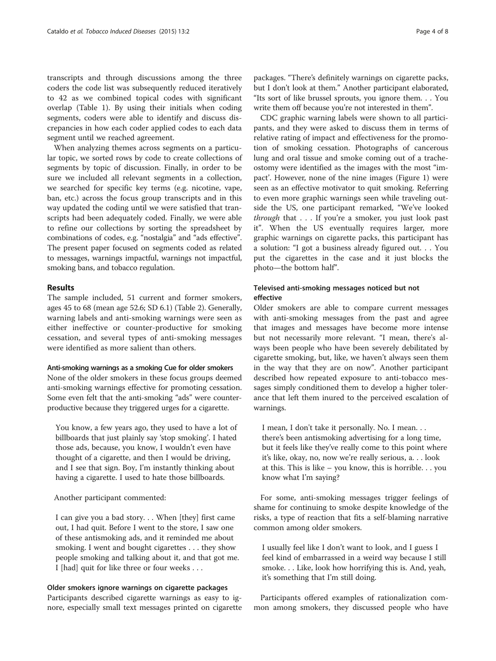transcripts and through discussions among the three coders the code list was subsequently reduced iteratively to 42 as we combined topical codes with significant overlap (Table [1](#page-4-0)). By using their initials when coding segments, coders were able to identify and discuss discrepancies in how each coder applied codes to each data segment until we reached agreement.

When analyzing themes across segments on a particular topic, we sorted rows by code to create collections of segments by topic of discussion. Finally, in order to be sure we included all relevant segments in a collection, we searched for specific key terms (e.g. nicotine, vape, ban, etc.) across the focus group transcripts and in this way updated the coding until we were satisfied that transcripts had been adequately coded. Finally, we were able to refine our collections by sorting the spreadsheet by combinations of codes, e.g. "nostalgia" and "ads effective". The present paper focused on segments coded as related to messages, warnings impactful, warnings not impactful, smoking bans, and tobacco regulation.

#### Results

The sample included, 51 current and former smokers, ages 45 to 68 (mean age 52.6; SD 6.1) (Table [2](#page-4-0)). Generally, warning labels and anti-smoking warnings were seen as either ineffective or counter-productive for smoking cessation, and several types of anti-smoking messages were identified as more salient than others.

#### Anti-smoking warnings as a smoking Cue for older smokers

None of the older smokers in these focus groups deemed anti-smoking warnings effective for promoting cessation. Some even felt that the anti-smoking "ads" were counterproductive because they triggered urges for a cigarette.

You know, a few years ago, they used to have a lot of billboards that just plainly say 'stop smoking'. I hated those ads, because, you know, I wouldn't even have thought of a cigarette, and then I would be driving, and I see that sign. Boy, I'm instantly thinking about having a cigarette. I used to hate those billboards.

#### Another participant commented:

I can give you a bad story. . . When [they] first came out, I had quit. Before I went to the store, I saw one of these antismoking ads, and it reminded me about smoking. I went and bought cigarettes . . . they show people smoking and talking about it, and that got me. I [had] quit for like three or four weeks . . .

#### Older smokers ignore warnings on cigarette packages

Participants described cigarette warnings as easy to ignore, especially small text messages printed on cigarette packages. "There's definitely warnings on cigarette packs, but I don't look at them." Another participant elaborated, "Its sort of like brussel sprouts, you ignore them. . . You write them off because you're not interested in them".

CDC graphic warning labels were shown to all participants, and they were asked to discuss them in terms of relative rating of impact and effectiveness for the promotion of smoking cessation. Photographs of cancerous lung and oral tissue and smoke coming out of a tracheostomy were identified as the images with the most "impact'. However, none of the nine images (Figure [1\)](#page-2-0) were seen as an effective motivator to quit smoking. Referring to even more graphic warnings seen while traveling outside the US, one participant remarked, "We've looked *through* that  $\ldots$  If you're a smoker, you just look past it". When the US eventually requires larger, more graphic warnings on cigarette packs, this participant has a solution: "I got a business already figured out. . . You put the cigarettes in the case and it just blocks the photo—the bottom half".

## Televised anti-smoking messages noticed but not effective

Older smokers are able to compare current messages with anti-smoking messages from the past and agree that images and messages have become more intense but not necessarily more relevant. "I mean, there's always been people who have been severely debilitated by cigarette smoking, but, like, we haven't always seen them in the way that they are on now". Another participant described how repeated exposure to anti-tobacco messages simply conditioned them to develop a higher tolerance that left them inured to the perceived escalation of warnings.

I mean, I don't take it personally. No. I mean. . . there's been antismoking advertising for a long time, but it feels like they've really come to this point where it's like, okay, no, now we're really serious, a. . . look at this. This is like – you know, this is horrible. . . you know what I'm saying?

For some, anti-smoking messages trigger feelings of shame for continuing to smoke despite knowledge of the risks, a type of reaction that fits a self-blaming narrative common among older smokers.

I usually feel like I don't want to look, and I guess I feel kind of embarrassed in a weird way because I still smoke. . . Like, look how horrifying this is. And, yeah, it's something that I'm still doing.

Participants offered examples of rationalization common among smokers, they discussed people who have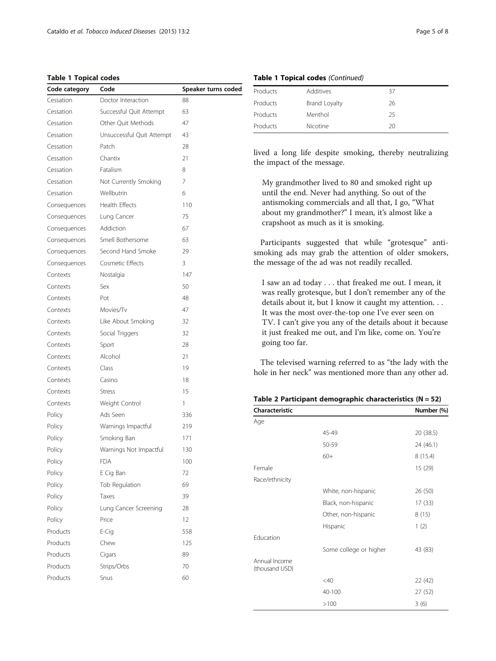#### <span id="page-4-0"></span>Table 1 Topical codes

| Code category | Code                      | Speaker turns coded |
|---------------|---------------------------|---------------------|
| Cessation     | Doctor Interaction        | 88                  |
| Cessation     | Successful Quit Attempt   | 63                  |
| Cessation     | Other Quit Methods        | 47                  |
| Cessation     | Unsuccessful Quit Attempt | 43                  |
| Cessation     | Patch                     | 28                  |
| Cessation     | Chantix                   | 21                  |
| Cessation     | Fatalism                  | 8                   |
| Cessation     | Not Currently Smoking     | 7                   |
| Cessation     | Wellbutrin                | 6                   |
| Consequences  | Health Effects            | 110                 |
| Consequences  | Lung Cancer               | 75                  |
| Consequences  | Addiction                 | 67                  |
| Consequences  | Smell Bothersome          | 63                  |
| Consequences  | Second Hand Smoke         | 29                  |
| Consequences  | Cosmetic Effects          | 3                   |
| Contexts      | Nostalgia                 | 147                 |
| Contexts      | Sex                       | 50                  |
| Contexts      | Pot                       | 48                  |
| Contexts      | Movies/Tv                 | 47                  |
| Contexts      | Like About Smoking        | 32                  |
| Contexts      | Social Triggers           | 32                  |
| Contexts      | Sport                     | 28                  |
| Contexts      | Alcohol                   | 21                  |
| Contexts      | Class                     | 19                  |
| Contexts      | Casino                    | 18                  |
| Contexts      | <b>Stress</b>             | 15                  |
| Contexts      | Weight Control            | 1                   |
| Policy        | Ads Seen                  | 336                 |
| Policy        | Warnings Impactful        | 219                 |
| Policy        | Smoking Ban               | 171                 |
| Policy        | Warnings Not Impactful    | 130                 |
| Policy        | <b>FDA</b>                | 100                 |
| Policy        | E Cig Ban                 | 72                  |
| Policy        | Tob Regulation            | 69                  |
| Policy        | Taxes                     | 39                  |
| Policy        | Lung Cancer Screening     | 28                  |
| Policy        | Price                     | 12                  |
| Products      | E-Cig                     | 558                 |
| Products      | Chew                      | 125                 |
| Products      | Cigars                    | 89                  |
| Products      | Strips/Orbs               | 70                  |
| Products      | Snus                      | 60                  |
|               |                           |                     |

#### Table 1 Topical codes (Continued)

| Products | Additives            | 37 |
|----------|----------------------|----|
| Products | <b>Brand Loyalty</b> | 26 |
| Products | Menthol              | 25 |
| Products | <b>Nicotine</b>      | 20 |

lived a long life despite smoking, thereby neutralizing the impact of the message.

My grandmother lived to 80 and smoked right up until the end. Never had anything. So out of the antismoking commercials and all that, I go, "What about my grandmother?" I mean, it's almost like a crapshoot as much as it is smoking.

Participants suggested that while "grotesque" antismoking ads may grab the attention of older smokers, the message of the ad was not readily recalled.

I saw an ad today . . . that freaked me out. I mean, it was really grotesque, but I don't remember any of the details about it, but I know it caught my attention. . . It was the most over-the-top one I've ever seen on TV. I can't give you any of the details about it because it just freaked me out, and I'm like, come on. You're going too far.

The televised warning referred to as "the lady with the hole in her neck" was mentioned more than any other ad.

| Table 2 Participant demographic characteristics (N = 52) |  |
|----------------------------------------------------------|--|
|----------------------------------------------------------|--|

| Characteristic                  |                        | Number (%) |
|---------------------------------|------------------------|------------|
| Age                             |                        |            |
|                                 | 45-49                  | 20 (38.5)  |
|                                 | 50-59                  | 24 (46.1)  |
|                                 | $60+$                  | 8(15.4)    |
| Female                          |                        | 15 (29)    |
| Race/ethnicity                  |                        |            |
|                                 | White, non-hispanic    | 26 (50)    |
|                                 | Black, non-hispanic    | 17(33)     |
|                                 | Other, non-hispanic    | 8(15)      |
|                                 | Hispanic               | 1(2)       |
| Education                       |                        |            |
|                                 | Some college or higher | 43 (83)    |
| Annual Income<br>(thousand USD) |                        |            |
|                                 | $<$ 40                 | 22 (42)    |
|                                 | 40-100                 | 27 (52)    |
|                                 | >100                   | 3(6)       |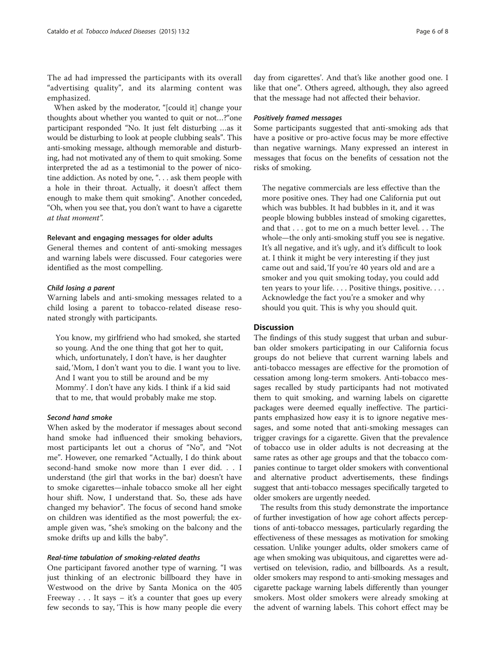The ad had impressed the participants with its overall "advertising quality", and its alarming content was emphasized.

When asked by the moderator, "[could it] change your thoughts about whether you wanted to quit or not…?"one participant responded "No. It just felt disturbing …as it would be disturbing to look at people clubbing seals". This anti-smoking message, although memorable and disturbing, had not motivated any of them to quit smoking. Some interpreted the ad as a testimonial to the power of nicotine addiction. As noted by one, ". . . ask them people with a hole in their throat. Actually, it doesn't affect them enough to make them quit smoking". Another conceded, "Oh, when you see that, you don't want to have a cigarette at that moment".

#### Relevant and engaging messages for older adults

General themes and content of anti-smoking messages and warning labels were discussed. Four categories were identified as the most compelling.

#### Child losing a parent

Warning labels and anti-smoking messages related to a child losing a parent to tobacco-related disease resonated strongly with participants.

You know, my girlfriend who had smoked, she started so young. And the one thing that got her to quit, which, unfortunately, I don't have, is her daughter said, 'Mom, I don't want you to die. I want you to live. And I want you to still be around and be my Mommy'. I don't have any kids. I think if a kid said that to me, that would probably make me stop.

#### Second hand smoke

When asked by the moderator if messages about second hand smoke had influenced their smoking behaviors, most participants let out a chorus of "No", and "Not me". However, one remarked "Actually, I do think about second-hand smoke now more than I ever did. . . I understand (the girl that works in the bar) doesn't have to smoke cigarettes—inhale tobacco smoke all her eight hour shift. Now, I understand that. So, these ads have changed my behavior". The focus of second hand smoke on children was identified as the most powerful; the example given was, "she's smoking on the balcony and the smoke drifts up and kills the baby".

#### Real-time tabulation of smoking-related deaths

One participant favored another type of warning. "I was just thinking of an electronic billboard they have in Westwood on the drive by Santa Monica on the 405 Freeway  $\ldots$  It says – it's a counter that goes up every few seconds to say, 'This is how many people die every

day from cigarettes'. And that's like another good one. I like that one". Others agreed, although, they also agreed that the message had not affected their behavior.

#### Positively framed messages

Some participants suggested that anti-smoking ads that have a positive or pro-active focus may be more effective than negative warnings. Many expressed an interest in messages that focus on the benefits of cessation not the risks of smoking.

The negative commercials are less effective than the more positive ones. They had one California put out which was bubbles. It had bubbles in it, and it was people blowing bubbles instead of smoking cigarettes, and that . . . got to me on a much better level. . . The whole—the only anti-smoking stuff you see is negative. It's all negative, and it's ugly, and it's difficult to look at. I think it might be very interesting if they just came out and said, 'If you're 40 years old and are a smoker and you quit smoking today, you could add ten years to your life. . . . Positive things, positive. . . . Acknowledge the fact you're a smoker and why should you quit. This is why you should quit.

## **Discussion**

The findings of this study suggest that urban and suburban older smokers participating in our California focus groups do not believe that current warning labels and anti-tobacco messages are effective for the promotion of cessation among long-term smokers. Anti-tobacco messages recalled by study participants had not motivated them to quit smoking, and warning labels on cigarette packages were deemed equally ineffective. The participants emphasized how easy it is to ignore negative messages, and some noted that anti-smoking messages can trigger cravings for a cigarette. Given that the prevalence of tobacco use in older adults is not decreasing at the same rates as other age groups and that the tobacco companies continue to target older smokers with conventional and alternative product advertisements, these findings suggest that anti-tobacco messages specifically targeted to older smokers are urgently needed.

The results from this study demonstrate the importance of further investigation of how age cohort affects perceptions of anti-tobacco messages, particularly regarding the effectiveness of these messages as motivation for smoking cessation. Unlike younger adults, older smokers came of age when smoking was ubiquitous, and cigarettes were advertised on television, radio, and billboards. As a result, older smokers may respond to anti-smoking messages and cigarette package warning labels differently than younger smokers. Most older smokers were already smoking at the advent of warning labels. This cohort effect may be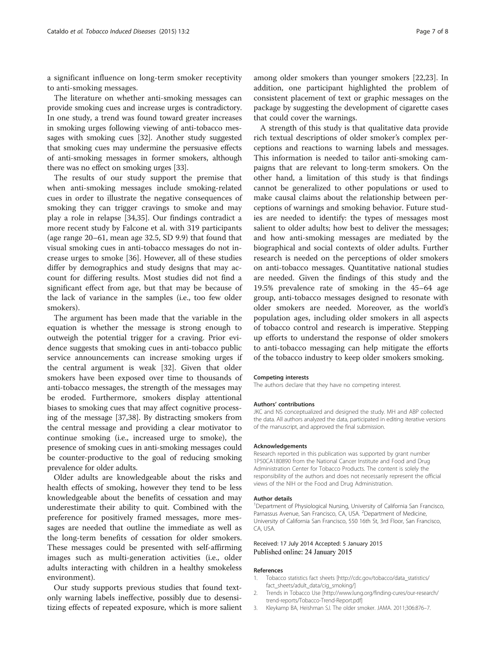<span id="page-6-0"></span>a significant influence on long-term smoker receptivity to anti-smoking messages.

The literature on whether anti-smoking messages can provide smoking cues and increase urges is contradictory. In one study, a trend was found toward greater increases in smoking urges following viewing of anti-tobacco messages with smoking cues [\[32\]](#page-7-0). Another study suggested that smoking cues may undermine the persuasive effects of anti-smoking messages in former smokers, although there was no effect on smoking urges [[33](#page-7-0)].

The results of our study support the premise that when anti-smoking messages include smoking-related cues in order to illustrate the negative consequences of smoking they can trigger cravings to smoke and may play a role in relapse [[34](#page-7-0),[35](#page-7-0)]. Our findings contradict a more recent study by Falcone et al. with 319 participants (age range 20–61, mean age 32.5, SD 9.9) that found that visual smoking cues in anti-tobacco messages do not increase urges to smoke [\[36](#page-7-0)]. However, all of these studies differ by demographics and study designs that may account for differing results. Most studies did not find a significant effect from age, but that may be because of the lack of variance in the samples (i.e., too few older smokers).

The argument has been made that the variable in the equation is whether the message is strong enough to outweigh the potential trigger for a craving. Prior evidence suggests that smoking cues in anti-tobacco public service announcements can increase smoking urges if the central argument is weak [[32](#page-7-0)]. Given that older smokers have been exposed over time to thousands of anti-tobacco messages, the strength of the messages may be eroded. Furthermore, smokers display attentional biases to smoking cues that may affect cognitive processing of the message [[37,38\]](#page-7-0). By distracting smokers from the central message and providing a clear motivator to continue smoking (i.e., increased urge to smoke), the presence of smoking cues in anti-smoking messages could be counter-productive to the goal of reducing smoking prevalence for older adults.

Older adults are knowledgeable about the risks and health effects of smoking, however they tend to be less knowledgeable about the benefits of cessation and may underestimate their ability to quit. Combined with the preference for positively framed messages, more messages are needed that outline the immediate as well as the long-term benefits of cessation for older smokers. These messages could be presented with self-affirming images such as multi-generation activities (i.e., older adults interacting with children in a healthy smokeless environment).

Our study supports previous studies that found textonly warning labels ineffective, possibly due to desensitizing effects of repeated exposure, which is more salient

among older smokers than younger smokers [[22,23\]](#page-7-0). In addition, one participant highlighted the problem of consistent placement of text or graphic messages on the package by suggesting the development of cigarette cases that could cover the warnings.

A strength of this study is that qualitative data provide rich textual descriptions of older smoker's complex perceptions and reactions to warning labels and messages. This information is needed to tailor anti-smoking campaigns that are relevant to long-term smokers. On the other hand, a limitation of this study is that findings cannot be generalized to other populations or used to make causal claims about the relationship between perceptions of warnings and smoking behavior. Future studies are needed to identify: the types of messages most salient to older adults; how best to deliver the messages; and how anti-smoking messages are mediated by the biographical and social contexts of older adults. Further research is needed on the perceptions of older smokers on anti-tobacco messages. Quantitative national studies are needed. Given the findings of this study and the 19.5% prevalence rate of smoking in the 45–64 age group, anti-tobacco messages designed to resonate with older smokers are needed. Moreover, as the world's population ages, including older smokers in all aspects of tobacco control and research is imperative. Stepping up efforts to understand the response of older smokers to anti-tobacco messaging can help mitigate the efforts of the tobacco industry to keep older smokers smoking.

#### Competing interests

The authors declare that they have no competing interest.

#### Authors' contributions

JKC and NS conceptualized and designed the study. MH and ABP collected the data. All authors analyzed the data, participated in editing iterative versions of the manuscript, and approved the final submission.

#### Acknowledgements

Research reported in this publication was supported by grant number 1P50CA180890 from the National Cancer Institute and Food and Drug Administration Center for Tobacco Products. The content is solely the responsibility of the authors and does not necessarily represent the official views of the NIH or the Food and Drug Administration.

#### Author details

<sup>1</sup>Department of Physiological Nursing, University of California San Francisco Parnassus Avenue, San Francisco, CA, USA. <sup>2</sup>Department of Medicine University of California San Francisco, 550 16th St, 3rd Floor, San Francisco, CA, USA.

#### Received: 17 July 2014 Accepted: 5 January 2015 Published online: 24 January 2015

#### References

- 1. Tobacco statistics fact sheets [\[http://cdc.gov/tobacco/data\\_statistics/](http://cdc.gov/tobacco/data_statistics/fact_sheets/adult_data/cig_smoking/) [fact\\_sheets/adult\\_data/cig\\_smoking/\]](http://cdc.gov/tobacco/data_statistics/fact_sheets/adult_data/cig_smoking/)
- 2. Trends in Tobacco Use [[http://www.lung.org/finding-cures/our-research/](http://www.lung.org/finding-cures/our-research/trend-reports/Tobacco-Trend-Report.pdf) [trend-reports/Tobacco-Trend-Report.pdf\]](http://www.lung.org/finding-cures/our-research/trend-reports/Tobacco-Trend-Report.pdf)
- 3. Kleykamp BA, Heishman SJ. The older smoker. JAMA. 2011;306:876–7.